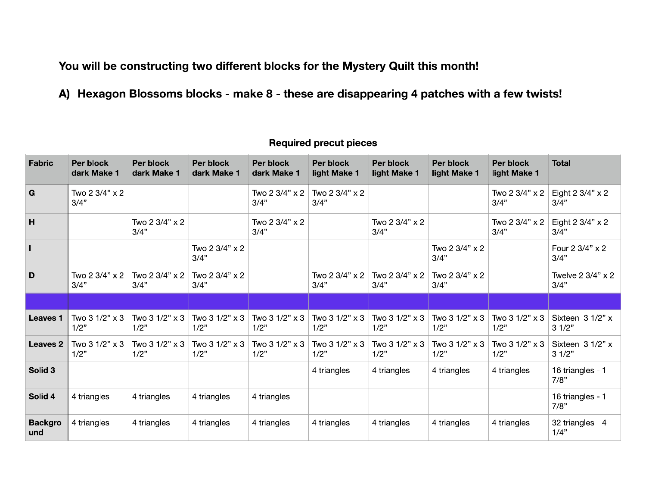You will be constructing two different blocks for the Mystery Quilt this month!

A) Hexagon Blossoms blocks - make 8 - these are disappearing 4 patches with a few twists!

| <b>Fabric</b>         | Per block<br>dark Make 1     | Per block<br>dark Make 1 | Per block<br>dark Make 1            | Per block<br>dark Make 1            | Per block<br>light Make 1 | Per block<br>light Make 1 | Per block<br>light Make 1       | Per block<br>light Make 1 | <b>Total</b>               |
|-----------------------|------------------------------|--------------------------|-------------------------------------|-------------------------------------|---------------------------|---------------------------|---------------------------------|---------------------------|----------------------------|
| G                     | Two 2 3/4" x 2<br>3/4"       |                          |                                     | Two 2 3/4" x 2<br>3/4"              | Two 2 3/4" x 2<br>3/4"    |                           |                                 | Two 2 3/4" x 2<br>3/4"    | Eight 2 3/4" x 2<br>3/4"   |
| H                     |                              | Two 2 3/4" x 2<br>3/4"   |                                     | Two $2 \frac{3}{4}$ " x $2$<br>3/4" |                           | Two 2 3/4" x 2<br>3/4"    |                                 | Two 2 3/4" x 2<br>3/4"    | Eight 2 3/4" x 2<br>3/4"   |
| $\mathbf{I}$          |                              |                          | Two 2 3/4" x 2<br>3/4"              |                                     |                           |                           | Two 2 3/4" x 2<br>3/4"          |                           | Four 2 3/4" x 2<br>3/4"    |
| D                     | Two 2 3/4" x 2<br>3/4"       | Two 2 3/4" x 2<br>3/4"   | Two $2 \frac{3}{4}$ " x $2$<br>3/4" |                                     | Two 2 3/4" x 2<br>3/4"    | Two 2 3/4" x 2<br>3/4"    | Two $2 \frac{3}{4}$ x 2<br>3/4" |                           | Twelve 2 3/4" x 2<br>3/4"  |
|                       |                              |                          |                                     |                                     |                           |                           |                                 |                           |                            |
| <b>Leaves 1</b>       | Two 3 1/2" x 3<br>1/2"       | Two 3 1/2" x 3<br>1/2"   | Two 3 1/2" x 3<br>1/2"              | Two 3 1/2" x 3<br>1/2"              | Two 3 1/2" x 3<br>1/2"    | Two 3 1/2" x 3<br>1/2"    | Two 3 1/2" x 3<br>1/2"          | Two 3 1/2" x 3<br>1/2"    | Sixteen $31/2"$ x<br>31/2" |
| <b>Leaves 2</b>       | Two $31/2" \times 3$<br>1/2" | Two 3 1/2" x 3<br>1/2"   | Two $31/2" \times 3$<br>1/2"        | Two 3 1/2" x 3<br>1/2"              | Two 3 1/2" x 3<br>1/2"    | Two 3 1/2" x 3<br>1/2"    | Two 3 1/2" x 3<br>1/2"          | Two 3 1/2" x 3<br>1/2"    | Sixteen 3 1/2" x<br>31/2"  |
| Solid 3               |                              |                          |                                     |                                     | 4 triangles               | 4 triangles               | 4 triangles                     | 4 triangles               | 16 triangles - 1<br>7/8"   |
| Solid 4               | 4 triangles                  | 4 triangles              | 4 triangles                         | 4 triangles                         |                           |                           |                                 |                           | 16 triangles - 1<br>7/8"   |
| <b>Backgro</b><br>und | 4 triangles                  | 4 triangles              | 4 triangles                         | 4 triangles                         | 4 triangles               | 4 triangles               | 4 triangles                     | 4 triangles               | 32 triangles - 4<br>1/4"   |

## **Required precut pieces**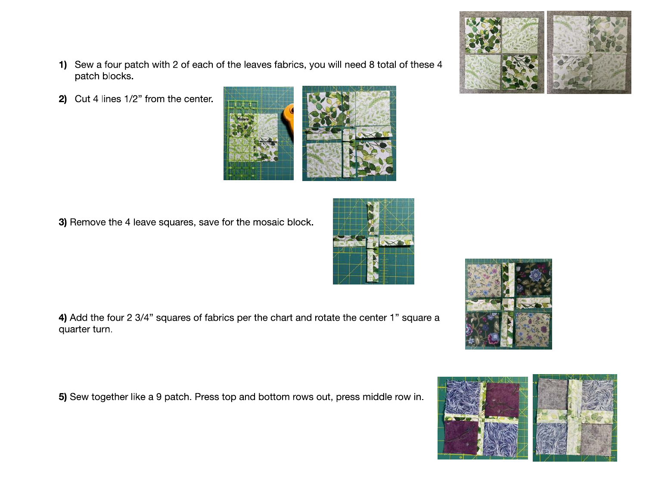- 1) Sew a four patch with 2 of each of the leaves fabrics, you will need 8 total of these 4 patch blocks.
- 2) Cut 4 lines 1/2" from the center.

3) Remove the 4 leave squares, save for the mosaic block.

4) Add the four 2 3/4" squares of fabrics per the chart and rotate the center 1" square a quarter turn.

5) Sew together like a 9 patch. Press top and bottom rows out, press middle row in.